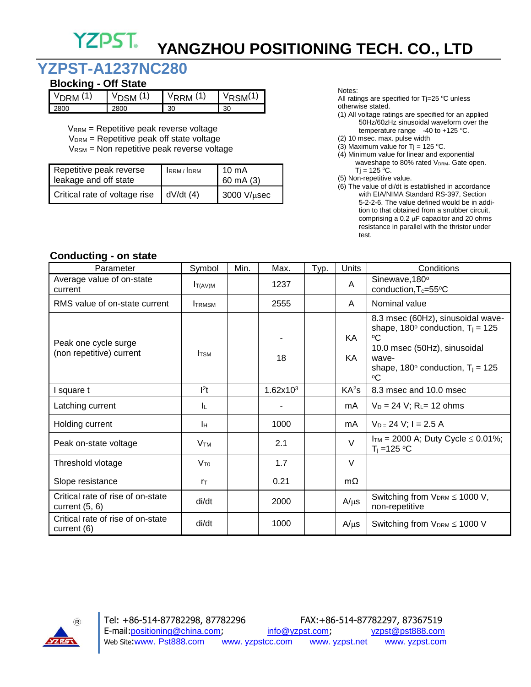## **YZPST YANGZHOU POSITIONING TECH. CO., LTD**

# **YZPST-A1237NC280**

### **Blocking - Off State**

| $\overline{A}$ | 5M   | (1 | $\mathbf{A}$ |
|----------------|------|----|--------------|
| PМ             |      | ١M | SM(          |
| 2800           | 2800 | 30 | 30           |

VRRM = Repetitive peak reverse voltage

 $V<sub>DRM</sub>$  = Repetitive peak off state voltage

VRSM = Non repetitive peak reverse voltage

| Repetitive peak reverse<br>leakage and off state | IRRM/IDRM | 10 mA<br>$60 \text{ mA} (3)$ |
|--------------------------------------------------|-----------|------------------------------|
| Critical rate of voltage rise                    | dV/dt (4) | $3000$ V/ $\mu$ sec          |

Notes:

All ratings are specified for  $Tj=25$  °C unless otherwise stated.

- (1) All voltage ratings are specified for an applied 50Hz/60zHz sinusoidal waveform over the temperature range  $-40$  to  $+125$  °C.
- (2) 10 msec. max. pulse width
- (3) Maximum value for  $Ti = 125$  °C.
- (4) Minimum value for linear and exponential waveshape to 80% rated V<sub>DRM</sub>. Gate open.  $Tj = 125 °C$ .
- (5) Non-repetitive value.
- (6) The value of di/dt is established in accordance with EIA/NIMA Standard RS-397, Section 5-2-2-6. The value defined would be in addi tion to that obtained from a snubber circuit, comprising a 0.2  $\mu$ F capacitor and 20 ohms resistance in parallel with the thristor under test.

#### **Conducting - on state**

| Parameter                                             | Symbol                 | Min. | Max.                 | Typ. | Units             | Conditions                                                                                                                                                                                                                    |
|-------------------------------------------------------|------------------------|------|----------------------|------|-------------------|-------------------------------------------------------------------------------------------------------------------------------------------------------------------------------------------------------------------------------|
| Average value of on-state<br>current                  | T(AV)M                 |      | 1237                 |      | A                 | Sinewave, 180°<br>conduction, T <sub>c</sub> =55°C                                                                                                                                                                            |
| RMS value of on-state current                         | <b>TRMSM</b>           |      | 2555                 |      | A                 | Nominal value                                                                                                                                                                                                                 |
| Peak one cycle surge<br>(non repetitive) current      | <b>I</b> TSM           |      | 18                   |      | KA.<br>KA         | 8.3 msec (60Hz), sinusoidal wave-<br>shape, 180 $^{\circ}$ conduction, T <sub>i</sub> = 125<br>$^{\circ}$ C<br>10.0 msec (50Hz), sinusoidal<br>wave-<br>shape, 180 $^{\circ}$ conduction, T <sub>i</sub> = 125<br>$^{\circ}C$ |
| square t                                              | 1 <sup>2</sup>         |      | 1.62x10 <sup>3</sup> |      | KA <sup>2</sup> S | 8.3 msec and 10.0 msec                                                                                                                                                                                                        |
| Latching current                                      | ΙL.                    |      |                      |      | mA                | $V_D = 24 V$ ; R <sub>L</sub> = 12 ohms                                                                                                                                                                                       |
| Holding current                                       | Iн                     |      | 1000                 |      | mA                | $V_D = 24$ V; I = 2.5 A                                                                                                                                                                                                       |
| Peak on-state voltage                                 | <b>V</b> <sub>TM</sub> |      | 2.1                  |      | $\vee$            | $I_{TM}$ = 2000 A; Duty Cycle $\leq$ 0.01%;<br>$T_i = 125$ °C                                                                                                                                                                 |
| Threshold vlotage                                     | $V_{T0}$               |      | 1.7                  |      | $\vee$            |                                                                                                                                                                                                                               |
| Slope resistance                                      | $r_{\text{T}}$         |      | 0.21                 |      | $m\Omega$         |                                                                                                                                                                                                                               |
| Critical rate of rise of on-state<br>current $(5, 6)$ | di/dt                  |      | 2000                 |      | $A/\mu s$         | Switching from $V_{DRM} \leq 1000 V$ ,<br>non-repetitive                                                                                                                                                                      |
| Critical rate of rise of on-state<br>current (6)      | di/dt                  |      | 1000                 |      | $A/\mu s$         | Switching from V <sub>DRM</sub> ≤ 1000 V                                                                                                                                                                                      |

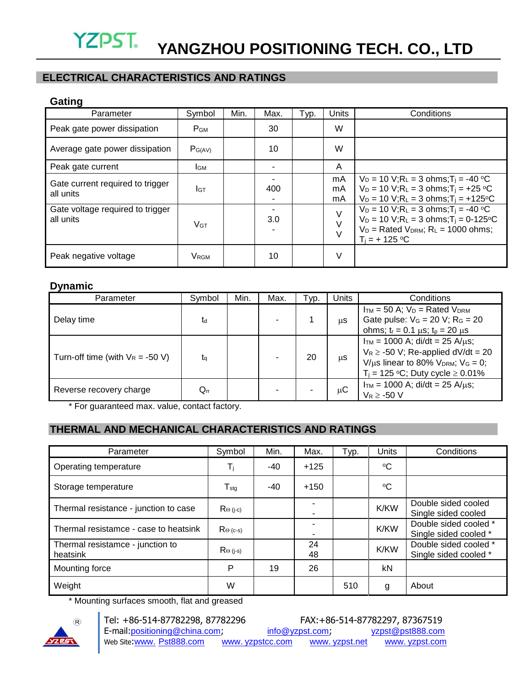### **ELECTRICAL CHARACTERISTICS AND RATINGS**

#### **Gating**

| Parameter                                     | Symbol                  | Min. | Max. | Typ. | Units          | Conditions                                                                                                                                                                                         |
|-----------------------------------------------|-------------------------|------|------|------|----------------|----------------------------------------------------------------------------------------------------------------------------------------------------------------------------------------------------|
| Peak gate power dissipation                   | P <sub>GM</sub>         |      | 30   |      | W              |                                                                                                                                                                                                    |
| Average gate power dissipation                | $P_{G(AV)}$             |      | 10   |      | W              |                                                                                                                                                                                                    |
| Peak gate current                             | <b>I</b> GM             |      |      |      | A              |                                                                                                                                                                                                    |
| Gate current required to trigger<br>all units | Iст                     |      | 400  |      | mA<br>mA<br>mA | $V_D = 10$ V;R <sub>L</sub> = 3 ohms;T <sub>i</sub> = -40 °C<br>$V_D = 10$ V;R <sub>L</sub> = 3 ohms;T <sub>i</sub> = +25 °C<br>$V_D = 10$ V; $R_L = 3$ ohms; $T_i = +125$ °C                      |
| Gate voltage required to trigger<br>all units | V <sub>GT</sub>         |      | 3.0  |      | $\vee$         | $V_D = 10$ V;R <sub>L</sub> = 3 ohms;T <sub>i</sub> = -40 °C<br>$V_D = 10$ V;R <sub>L</sub> = 3 ohms;T <sub>i</sub> = 0-125 °C<br>$V_D$ = Rated $V_{DRM}$ ; $R_L$ = 1000 ohms;<br>$T_i = + 125 °C$ |
| Peak negative voltage                         | <b>V</b> <sub>RGM</sub> |      | 10   |      | V              |                                                                                                                                                                                                    |

#### **Dynamic**

| Parameter                           | Symbol       | Min. | Max. | Typ. | Units | Conditions                                                                                                                                                                        |
|-------------------------------------|--------------|------|------|------|-------|-----------------------------------------------------------------------------------------------------------------------------------------------------------------------------------|
| Delay time                          | td           |      |      |      | μS    | $I_{TM}$ = 50 A; $V_D$ = Rated $V_{DRM}$<br>Gate pulse: $V_G = 20 V$ ; $R_G = 20$<br>ohms; $t_r = 0.1 \mu s$ ; $t_p = 20 \mu s$                                                   |
| Turn-off time (with $V_R = -50 V$ ) | ta           |      |      | 20   | μS    | $I_{TM}$ = 1000 A; di/dt = 25 A/ $\mu$ s;<br>$V_R \ge -50$ V; Re-applied dV/dt = 20<br>$V/\mu s$ linear to 80% $V_{DRM}$ ; $V_G = 0$ ;<br>$T_i = 125$ °C; Duty cycle $\ge 0.01\%$ |
| Reverse recovery charge             | $\rm Q_{rr}$ |      |      |      | μC    | $I_{TM}$ = 1000 A; di/dt = 25 A/ $\mu$ s;<br>$V_R \geq -50$ V                                                                                                                     |

\* For guaranteed max. value, contact factory.

### **THERMAL AND MECHANICAL CHARACTERISTICS AND RATINGS**

| Parameter                                    | Symbol                                | Min.  | Max.                          | Typ. | Units       | Conditions                                     |
|----------------------------------------------|---------------------------------------|-------|-------------------------------|------|-------------|------------------------------------------------|
| Operating temperature                        | Τj                                    | $-40$ | $+125$                        |      | ∘C          |                                                |
| Storage temperature                          | $T_{\rm stg}$                         | -40   | $+150$                        |      | °C          |                                                |
| Thermal resistance - junction to case        | $\mathsf{R}_{\Theta\text{ (j-c)}}$    |       | $\overline{\phantom{0}}$<br>٠ |      | <b>K/KW</b> | Double sided cooled<br>Single sided cooled     |
| Thermal resistamce - case to heatsink        | $Re($ c-s)                            |       | -                             |      | <b>K/KW</b> | Double sided cooled *<br>Single sided cooled * |
| Thermal resistamce - junction to<br>heatsink | $\mathsf{R}_{\Theta\,\mathsf{(j-s)}}$ |       | 24<br>48                      |      | <b>K/KW</b> | Double sided cooled *<br>Single sided cooled * |
| Mounting force                               | P                                     | 19    | 26                            |      | kN          |                                                |
| Weight                                       | W                                     |       |                               | 510  | g           | About                                          |

\* Mounting surfaces smooth, flat and greased